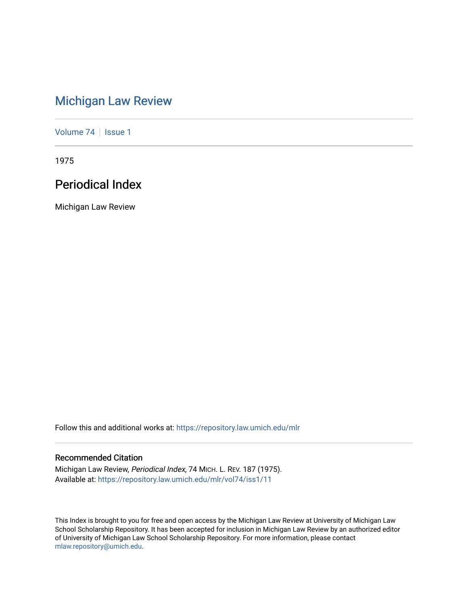# [Michigan Law Review](https://repository.law.umich.edu/mlr)

[Volume 74](https://repository.law.umich.edu/mlr/vol74) | [Issue 1](https://repository.law.umich.edu/mlr/vol74/iss1)

1975

# Periodical Index

Michigan Law Review

Follow this and additional works at: [https://repository.law.umich.edu/mlr](https://repository.law.umich.edu/mlr?utm_source=repository.law.umich.edu%2Fmlr%2Fvol74%2Fiss1%2F11&utm_medium=PDF&utm_campaign=PDFCoverPages) 

# Recommended Citation

Michigan Law Review, Periodical Index, 74 MICH. L. REV. 187 (1975). Available at: [https://repository.law.umich.edu/mlr/vol74/iss1/11](https://repository.law.umich.edu/mlr/vol74/iss1/11?utm_source=repository.law.umich.edu%2Fmlr%2Fvol74%2Fiss1%2F11&utm_medium=PDF&utm_campaign=PDFCoverPages) 

This Index is brought to you for free and open access by the Michigan Law Review at University of Michigan Law School Scholarship Repository. It has been accepted for inclusion in Michigan Law Review by an authorized editor of University of Michigan Law School Scholarship Repository. For more information, please contact [mlaw.repository@umich.edu.](mailto:mlaw.repository@umich.edu)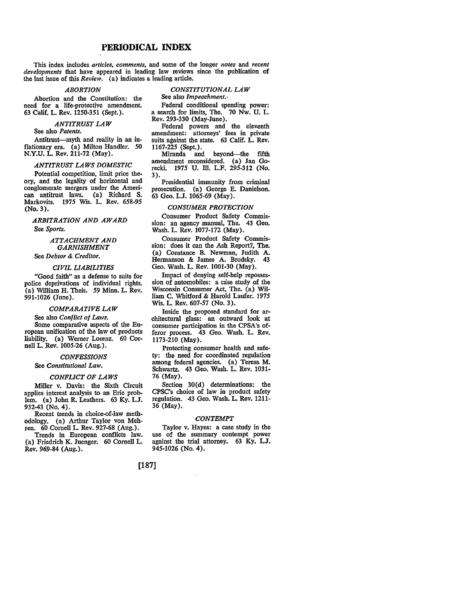# **PERIODICAL INDEX**

This index includes *articles, comments,* and some of the longer *notes* and *recent developments* that have appeared in leading law reviews since the publication of the last issue of this *Review.* (a) indicates a leading article.

## *ABORTION*

*CONSTITUTIONAL LAW*  See also *Impeachment.•* 

Abortion and the Constitution: the need for a life-protective amendment. 63 Calif. L. Rev. 1250-351 (Sept.).

#### *ANTITRUST LAW*

See also *Patents.* 

Antitrust-myth and reality in an inflationary era. (a) Milton Handler. *50*  **N.Y.U.** L. Rev. 211-72 (May).

## *ANTITRUST LAWS DOMESTIC*

Potential competition, limit price theory, and the legality of horizontal and conglomerate mergers under the American antitrust laws. (a) Richard S. Markovits. 1975 Wis. L. Rev. 658-95 (No. 3).

*ARBITRATION AND AWARD*  See *Sports.* 

# *ATTACHMENT AND GARNISHMENT*

See *Debtor & Creditor.* 

## *CIVIL LIABILITIES*

"Good faith" as a defense to suits for police deprivations of individual rights. (a) William H. Theis. *59* Minn. L. Rev. 991-1026 (June).

#### *COMPARATIVE LAW*

See also *Conflict of Laws.*  Some comparative aspects of the European unification of the law of products liability. (a) Werner Lorenz. 60 Cornell L. Rev. 1005-26 (Aug.).

## *CONFESSIONS*

## See *Constitutional Law.*

## *CONFLICT OF LAWS*

Miller v. Davis: the Sixth Circuit applies interest analysis to an Erie problem. (a) John R. Leathers. 63 Ky. L.J. 932-43 (No. 4).

Recent trends in choice-of-law methodology. (a) Arthur Taylor von Meh- ren. 60 Cornell L. Rev. 927-68 (Aug.).

Trends in European conflicts law. (a) Friedrich **K.** Juenger. 60 Cornell L. Rev. 969-84 (Aug.).

Federal conditional spending power: a search for limits, The. 70 Nw. U. L. Rev. 293-330 (May-June).

Federal powers and the eleventh amendment: attorneys' fees in private suits against the state. 63 Calif. L. Rev. 1167-225 (Sept.).

beyond—the fifth amendment reconsidered. (a) Jan Gorecki. 1975 U. Ill. L.F. 295-312 (No. 3).

Presidential immunity from criminal prosecution. (a) George E. Danielson. 63 Geo. L.J. 1065-69 (May).

#### *CONSUMER PROTECTION*

Consumer Product Safety Commission: an agency manual, The. 43 Geo. Wash. L. Rev. 1077-172 (May).

Consumer Product Safety Commission: does it can the Ash Report?, The. (a) Constance B. Newman, Judith A. Hermanson & James A. Brodsky. Geo. Wash. L. Rev. 1001-30 (May).

Impact of denying self-help repossession of automobiles: a case study of the Wisconsin Consumer Act, The. (a) William C. Whitford-& Harold Laufer. 1975 Wis. L. Rev. 607-57 (No. 3).

Inside the proposed standard for architectural glass: an outward look at consumer participation in the CPSA's offeror process. 43 Geo. Wash. L. Rev. 1173-210 (May).

Protecting consumer health and safety: the need for coordinated regulation among federal agencies. (a) Teresa **M.**  Schwartz. 43 Geo. Wash. L. Rev. 1031- 76 (May).

Section 30(d) determinations: the CPSC's choice of law in product safety regulation. 43 Geo. Wash. L. Rev. 1211- 36 (May).

#### *CONTEMPT*

Taylor v. Hayes: a case study in the use of the summary contempt power against the trial attorney. 63 Ky. LJ. 945-1026 (No. 4).

# [187]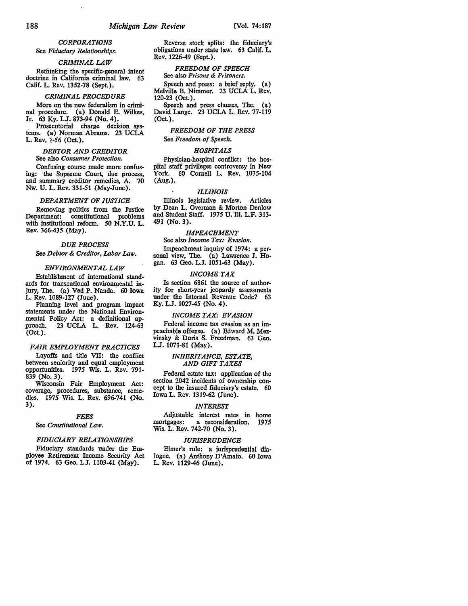## *CORPORATIONS*

J.

See *Fiduciary Relationships.* 

## *CRIMINAL LAW*

Rethinking the specific-general intent doctrine in California criminal law. 63 Calif. L. Rev. 1352-78 (Sept.).

## *CRIMINAL PROCEDURE*

More on the new federalism in criminal procedure. (a) Donald E. Wilkes, Jr. 63 Ky. LJ. 873-94 (No. 4).

Prosecutorial charge decision systems. (a) Norman Abrams. 23 UCLA L. Rev. 1-56 (Oct.).

## *DEBTOR AND CREDITOR*  See also *Consumer Protection.*

Confusing course made more confusing: the Supreme Court, due process, and summary creditor remedies, A. 70 Nw. U. L. Rev. 331-51 (May-June).

#### *DEPARTMENT OF JUSTICE*

Removing politics from the Justice Department: constitutional problems with institutional reform. 50 N.Y.U. L. Rev. *366-435* (May).

## *DUE PROCESS*

See *Debtor* & *Creditor, Labor Law.* 

#### *ENVIRONMENTAL LAW*

Establishment of international standards for transnational environmental injury, The. (a) Ved P. Nanda. 60 Iowa L. Rev. 1089-127 (June).

Planning level and program impact statements under the National Environmental Policy Act: a definitional approach, 23 UCLA L. Rev. 124-63 23 UCLA L. Rev. 124-63 (Oct.).

## **FAIR EMPLOYMENT PRACTICES**

Layoffs and title VII: the conflict between seniority and equal employment<br>opportunities. 1975 Wis. L. Rev. 791-1975 Wis. L. Rev. 791-839 (No. 3).

Wisconsin Fair Employment Act: coverage, procedures, substance, remedies. 1975 Wis. L. Rev. 696-741 (No. 3).

#### *FEES*

## See *Constitutional* Law.

## *FIDUCIARY RELATIONSHIPS*

Fiduciary standards under the Employee Retirement Income Security Act of 1974. 63 Geo. LJ. 1109-41 **(May).** 

Reverse stock splits: the fiduciary's obligations under state law. 63 Calif. L. Rev. 1226-49 (Sept.).

## *FREEDOM OF SPEECH*  See also *Prisons* & *Prisoners.*

Speech and press: a brief reply. (a) Melville B. Nimmer. 23 UCLA L. Rev. 120-23 (Oct.).

Speech and press clauses, The. (a) David Lange. 23 UCLA L. Rev. 77-119 (Oct.).

## *FREEDOM OF THE PRESS*

## See *Freedom of Speech.*

## *HOSPITALS*

Physician-hospital conflict: the hospital staff privileges controversy in New York. 60 Cornell L. Rev. 1075-104 (Aug.).

#### *ILLINOIS*

Illinois legislative review. Articles by Dean L. Overman & Morton Denlow and Student Staff. 1975 U. III. L.F. 313- 491 (No. 3).

## *IMPEACHMENT*

See also *Income Tar: Evasion.*  Impeachment inquiry of 1974: a personal view, The. (a) Lawrence J. Hogan. 63 Geo. L.J. 1051-63 (May),

#### *INCOME TAX*

Is section 6861 the source of authority for short-year jeopardy assessments under the Internal Revenue Code? 63 Ky. L.J. 1027-45 (No. 4).

## *INCOME TAX: EVASION*

Federal income tax evasion as an impeachable offense. (a) Edward M. Mezvinsky & Doris S. Freedman. 63 Geo, LJ. 1071-81 (May).

#### *INHERITANCE, ESTATE, AND GIFT TAXES*

Federal estate tax: application of the section 2042 incidents of ownership concept to the insured fiduciary's estate. 60 Iowa L. Rev. 1319-62 (June).

#### *INTEREST*

Adjustable interest rates in home<br>mortgages: a reconsideration. 1975 a reconsideration. 1975 Wis. L. Rev. 742-70 (No. 3).

#### *JURISPRUDENCE*

Elmer's rule: a jurisprudential dialogue. (a) Anthony D'Amato. 60 Iowa L. Rev. 1129-46 (June).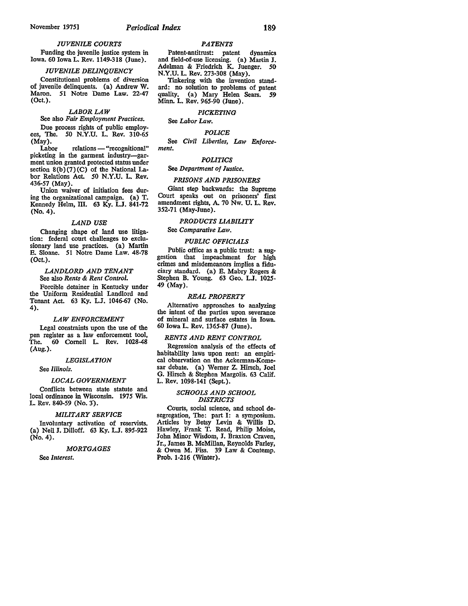## *JUVENILE COURTS*

Funding the juvenile justice system in Iowa. 60 Iowa L. Rev. 1149-318 (June).

## *JUVENILE DELINQUENCY*

Constitutional problems of diversion of juvenile delinquents. (a) Andrew W. Maron. 51 Notre Dame Law. 22-47 (Oct.).

#### *LABOR LAW*

# See also *Fair Employment Practices.*

Due process rights of public employees, The. *50* N.Y.U. L. Rev. 310-65 (May).

Labor relations - "recognitional" picketing in the garment industry-garment union granted protected status under section  $8(b)(7)(C)$  of the National Labor Relations Act. *50* N.Y.U. L. Rev. 436-57 (May).

Union waiver of initiation fees during the organizational campaign. (a) T. Kennedy Helm, III. 63 Ky. L.J. 841-72 (No. 4).

## *LAND USE*

Changing shape of land use litigation: federal court challenges to exclusionary land use practices. (a) Martin E. Sloane. 51 Notre Dame Law. 48-78 (Oct.).

*LANDLORD AND TENANT*  See also *Rents* & *Rent Control.* 

Forcible detainer in Kentucky under the Uniform Residential Landlord and Tenant Act. 63 Ky. LJ. 1046-67 (No. 4).

## *LAW ENFORCEMENT*

Legal constraints upon the use of the pen register as a law enforcement tool, The. 60 Cornell L Rev. 1028-48 (Aug.).

#### *LEGISLATION*

See *Illinois.* 

#### *LOCAL GOVERNMENT*

Conflicts between state statute and local ordinance in Wisconsin. 1975 Wis. L Rev. 840-59 (No. 3).

## *MILITARY SERVICE*

Involuntary activation of reservists. (a) Neil J. Dilloff. 63 Ky. L.J. 895-922 (No. 4).

#### *MORTGAGES*

See *Interest.* 

#### *PATENTS*

Patent-antitrust: patent dynamics and field-of-use licensing. (a) Martin **J.**  Adelman & Friedrich K. Juenger. 50 N.Y.U. L. Rev. 273-308 (May).

Tinkering with the invention standard: no solution to problems of patent quality. (a) Mary Helen Sears. *59*  Minn. L. Rev. 965-90 (June).

# *PICKETING*

See *Labor* Law.

## *POLICE*

See *Civil Liberties, Law Enforcement.* 

#### *POLITICS*

## See *Department of Justice.*

## *PRISONS AND PRISONERS*

Giant step backwards: the Supreme Court speaks out on prisoners' first amendment rights, A. 70 Nw. U. L. Rev. 352-71 (May-June).

# *PRODUCTS LIABILITY*

See *Comparative* Law.

## *PUBLIC OFFICIALS*

Public office as a public trust: a suggestion that impeachment for high crimes and misdemeanors implies a fiduciary standard. (a) E. Mabry Rogers & Stephen B. Young. 63 Geo. L.J. 1025- 49 (May).

#### *REAL PROPERTY*

Alternative approaches to analyzing the intent of the parties upon severance of mineral and surface estates in Iowa. 60 Iowa L. Rev. 1365-87 (June).

## *RENTS AND RENT CONTROL*

Regression analysis of the effects of habitability laws upon rent: an empirical observation on the Ackerman-Komesar debate. (a) Werner Z. Hirsch, Joel G. Hirsch & Stephen Margolis. 63 Calif. L. Rev. 1098-141 (Sept.).

## *SCHOOLS AND SCHOOL DISTRICTS*

Courts, social science, and school desegregation, The: part I: a symposium. Articles by Betsy Levin & Willis D. Hawley, Frank T. Read, Philip Moise, John Minor Wisdom, J. Braxton Craven, Jr., James B. McMillan, Reynolds Farley, & Owen **M.** Fiss. 39 Law & Contemp. Prob. 1-216 (Winter).